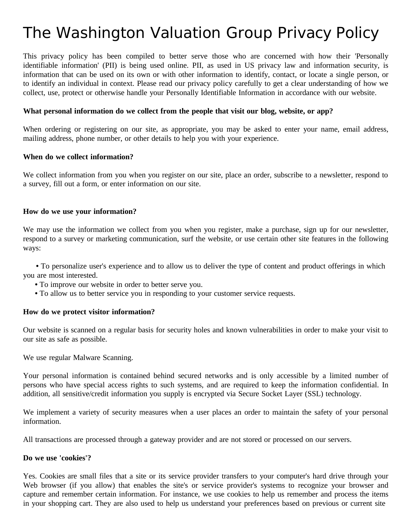# The Washington Valuation Group Privacy Policy

This privacy policy has been compiled to better serve those who are concerned with how their 'Personally identifiable information' (PII) is being used online. PII, as used in US privacy law and information security, is information that can be used on its own or with other information to identify, contact, or locate a single person, or to identify an individual in context. Please read our privacy policy carefully to get a clear understanding of how we collect, use, protect or otherwise handle your Personally Identifiable Information in accordance with our website.

#### **What personal information do we collect from the people that visit our blog, website, or app?**

When ordering or registering on our site, as appropriate, you may be asked to enter your name, email address, mailing address, phone number, or other details to help you with your experience.

#### **When do we collect information?**

We collect information from you when you register on our site, place an order, subscribe to a newsletter, respond to a survey, fill out a form, or enter information on our site.

#### **How do we use your information?**

We may use the information we collect from you when you register, make a purchase, sign up for our newsletter, respond to a survey or marketing communication, surf the website, or use certain other site features in the following ways:

**•** To personalize user's experience and to allow us to deliver the type of content and product offerings in which you are most interested.

- **•** To improve our website in order to better serve you.
- **•** To allow us to better service you in responding to your customer service requests.

#### **How do we protect visitor information?**

Our website is scanned on a regular basis for security holes and known vulnerabilities in order to make your visit to our site as safe as possible.

We use regular Malware Scanning.

Your personal information is contained behind secured networks and is only accessible by a limited number of persons who have special access rights to such systems, and are required to keep the information confidential. In addition, all sensitive/credit information you supply is encrypted via Secure Socket Layer (SSL) technology.

We implement a variety of security measures when a user places an order to maintain the safety of your personal information.

All transactions are processed through a gateway provider and are not stored or processed on our servers.

#### **Do we use 'cookies'?**

Yes. Cookies are small files that a site or its service provider transfers to your computer's hard drive through your Web browser (if you allow) that enables the site's or service provider's systems to recognize your browser and capture and remember certain information. For instance, we use cookies to help us remember and process the items in your shopping cart. They are also used to help us understand your preferences based on previous or current site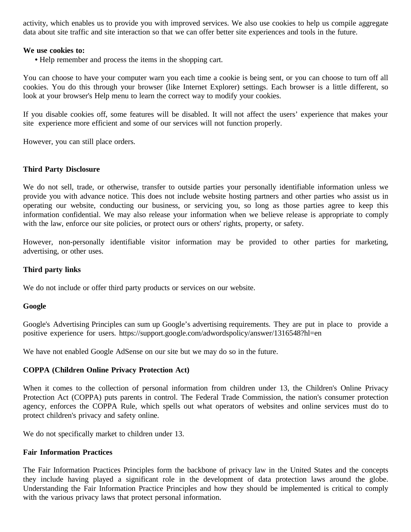activity, which enables us to provide you with improved services. We also use cookies to help us compile aggregate data about site traffic and site interaction so that we can offer better site experiences and tools in the future.

#### **We use cookies to:**

**•** Help remember and process the items in the shopping cart.

You can choose to have your computer warn you each time a cookie is being sent, or you can choose to turn off all cookies. You do this through your browser (like Internet Explorer) settings. Each browser is a little different, so look at your browser's Help menu to learn the correct way to modify your cookies.

If you disable cookies off, some features will be disabled. It will not affect the users' experience that makes your site experience more efficient and some of our services will not function properly.

However, you can still place orders.

#### **Third Party Disclosure**

We do not sell, trade, or otherwise, transfer to outside parties your personally identifiable information unless we provide you with advance notice. This does not include website hosting partners and other parties who assist us in operating our website, conducting our business, or servicing you, so long as those parties agree to keep this information confidential. We may also release your information when we believe release is appropriate to comply with the law, enforce our site policies, or protect ours or others' rights, property, or safety.

However, non-personally identifiable visitor information may be provided to other parties for marketing, advertising, or other uses.

#### **Third party links**

We do not include or offer third party products or services on our website.

#### **Google**

Google's Advertising Principles can sum up Google's advertising requirements. They are put in place to provide a positive experience for users. https://support.google.com/adwordspolicy/answer/1316548?hl=en

We have not enabled Google AdSense on our site but we may do so in the future.

#### **COPPA (Children Online Privacy Protection Act)**

When it comes to the collection of personal information from children under 13, the Children's Online Privacy Protection Act (COPPA) puts parents in control. The Federal Trade Commission, the nation's consumer protection agency, enforces the COPPA Rule, which spells out what operators of websites and online services must do to protect children's privacy and safety online.

We do not specifically market to children under 13.

#### **Fair Information Practices**

The Fair Information Practices Principles form the backbone of privacy law in the United States and the concepts they include having played a significant role in the development of data protection laws around the globe. Understanding the Fair Information Practice Principles and how they should be implemented is critical to comply with the various privacy laws that protect personal information.